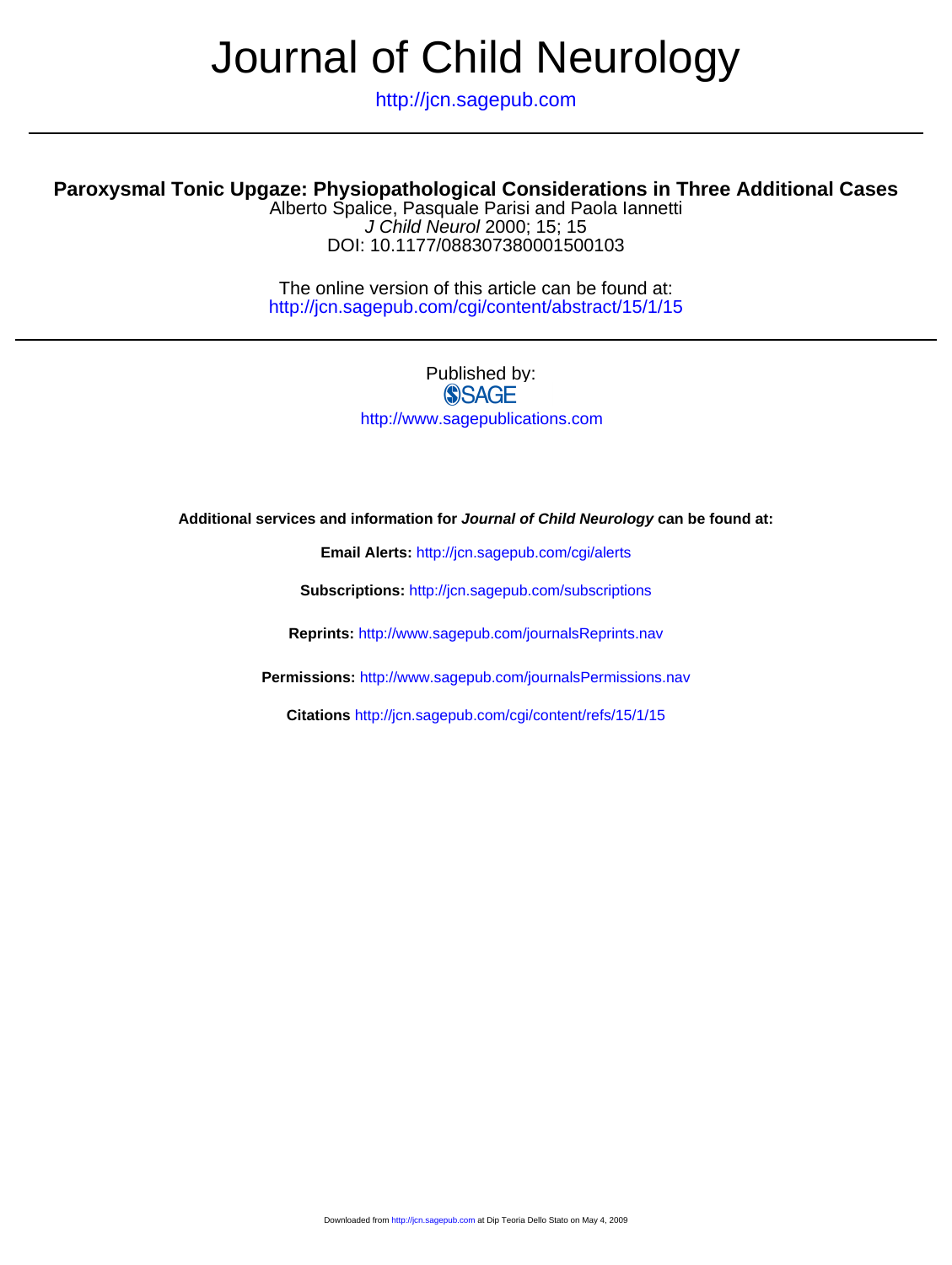# Journal of Child Neurology

http://jcn.sagepub.com

### **Paroxysmal Tonic Upgaze: Physiopathological Considerations in Three Additional Cases**

DOI: 10.1177/088307380001500103 J Child Neurol 2000; 15; 15 Alberto Spalice, Pasquale Parisi and Paola Iannetti

http://jcn.sagepub.com/cgi/content/abstract/15/1/15 The online version of this article can be found at:

> Published by: **SSAGE** http://www.sagepublications.com

#### **Additional services and information for Journal of Child Neurology can be found at:**

**Email Alerts:** <http://jcn.sagepub.com/cgi/alerts>

**Subscriptions:** <http://jcn.sagepub.com/subscriptions>

**Reprints:** <http://www.sagepub.com/journalsReprints.nav>

**Permissions:** <http://www.sagepub.com/journalsPermissions.nav>

**Citations** <http://jcn.sagepub.com/cgi/content/refs/15/1/15>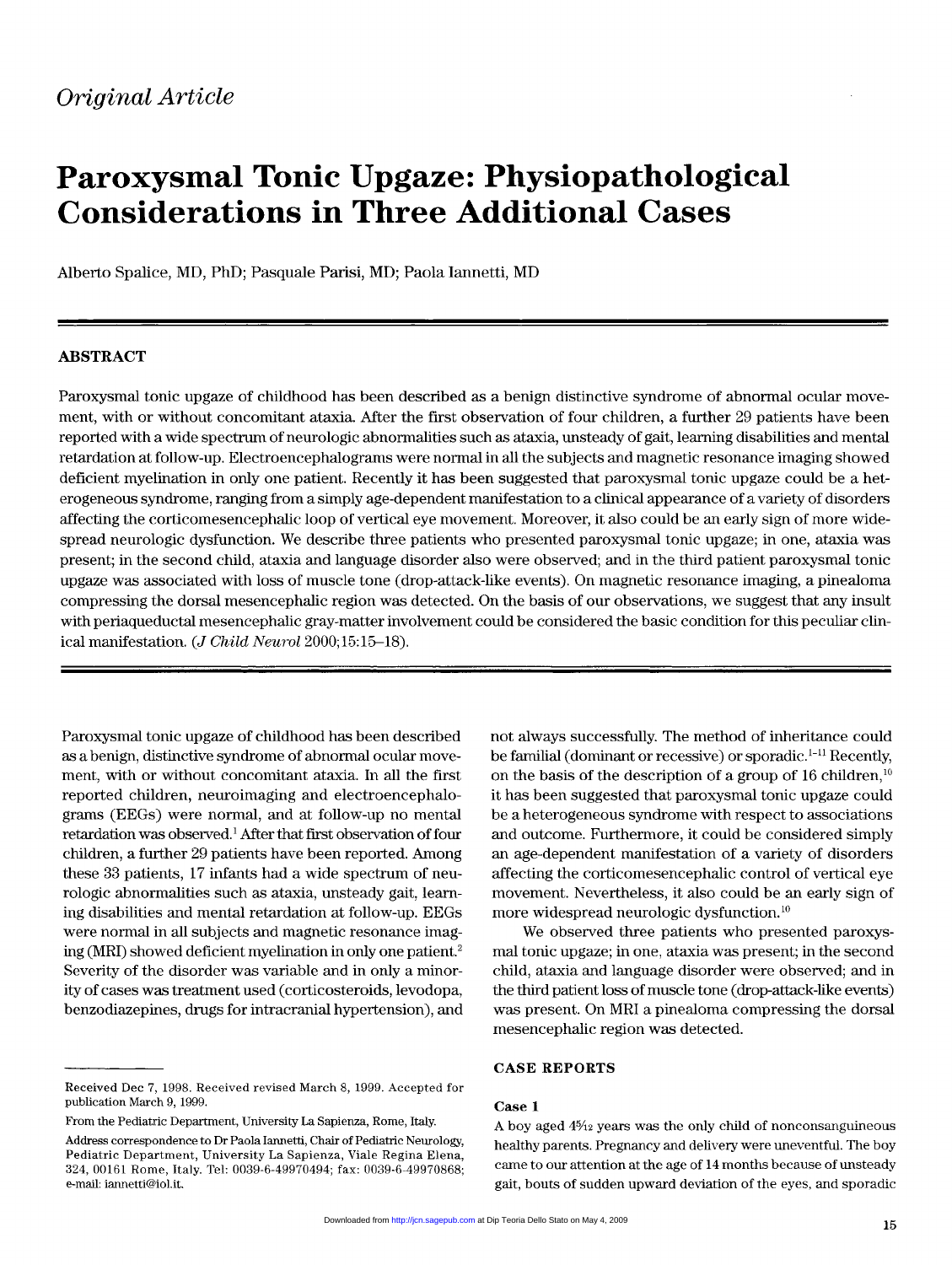## Paroxysmal Tonic Upgaze: Physiopathological Considerations in Three Additional Cases

Alberto Spalice, MD, PhD; Pasquale Parisi, MD; Paola lannetti, MD

#### ABSTRACT

Paroxysmal tonic upgaze of childhood has been described as a benign distinctive syndrome of abnormal ocular movement, with or without concomitant ataxia. After the first observation of four children, a further 29 patients have been reported with a wide spectrum of neurologic abnormalities such as ataxia, unsteady of gait, learning disabilities and mental retardation at follow-up. Electroencephalograms were normal in all the subjects and magnetic resonance imaging showed deficient myelination in only one patient. Recently it has been suggested that paroxysmal tonic upgaze could be a heterogeneous syndrome, ranging from a simply age-dependent manifestation to a clinical appearance of a variety of disorders affecting the corticomesencephalic loop of vertical eye movement. Moreover, it also could be an early sign of more widespread neurologic dysfunction. We describe three patients who presented paroxysmal tonic upgaze; in one, ataxia was present; in the second child, ataxia and language disorder also were observed; and in the third patient paroxysmal tonic upgaze was associated with loss of muscle tone (drop-attack-like events). On magnetic resonance imaging, a pinealoma compressing the dorsal mesencephalic region was detected. On the basis of our observations, we suggest that any insult with periaqueductal mesencephalic gray-matter involvement could be considered the basic condition for this peculiar clinical manifestation. (J Child Neurol 2000;15:15-18).

Paroxysmal tonic upgaze of childhood has been described as a benign, distinctive syndrome of abnormal ocular movement, with or without concomitant ataxia. In all the first reported children, neuroimaging and electroencephalograms (EEGs) were normal, and at follow-up no mental retardation was observed.<sup>1</sup> After that first observation of four children, a further 29 patients have been reported. Among these 33 patients, 17 infants had a wide spectrum of neurologic abnormalities such as ataxia, unsteady gait, learning disabilities and mental retardation at follow-up. EEGs were normal in all subjects and magnetic resonance imaging (MRI) showed deficient myelination in only one patient.<sup>2</sup> Severity of the disorder was variable and in only a minority of cases was treatment used (corticosteroids, levodopa, benzodiazepines, drugs for intracranial hypertension), and

From the Pediatric Department, University La Sapienza, Rome, Italy.

not always successfully. The method of inheritance could be familial (dominant or recessive) or sporadic. $<sup>1-11</sup>$  Recently,</sup> on the basis of the description of a group of 16 children,  $10$ it has been suggested that paroxysmal tonic upgaze could be a heterogeneous syndrome with respect to associations and outcome. Furthermore, it could be considered simply an age-dependent manifestation of a variety of disorders affecting the corticomesencephalic control of vertical eye movement. Nevertheless, it also could be an early sign of more widespread neurologic dysfunction. 10

We observed three patients who presented paroxysmal tonic upgaze; in one, ataxia was present; in the second child, ataxia and language disorder were observed; and in the third patient loss of muscle tone (drop-attack-like events) was present. On MRI a pinealoma compressing the dorsal mesencephalic region was detected.

#### CASE REPORTS

#### Case 1

A boy aged 4%2 years was the only child of nonconsanguineous healthy parents. Pregnancy and delivery were uneventful. The boy came to our attention at the age of 14 months because of unsteady gait, bouts of sudden upward deviation of the eyes, and sporadic

Received Dec 7, 1998. Received revised March 8, 1999. Accepted for publication March 9, 1999.

Address correspondence to Dr Paola Iannetti, Chair of Pediatric Neurology, Pediatric Department, University La Sapienza, Viale Regina Elena, 324, 00161 Rome, Italy. Tel: 0039-6-49970494; fax: 0039-6-49970868; e-mail: iannetti@iol.it.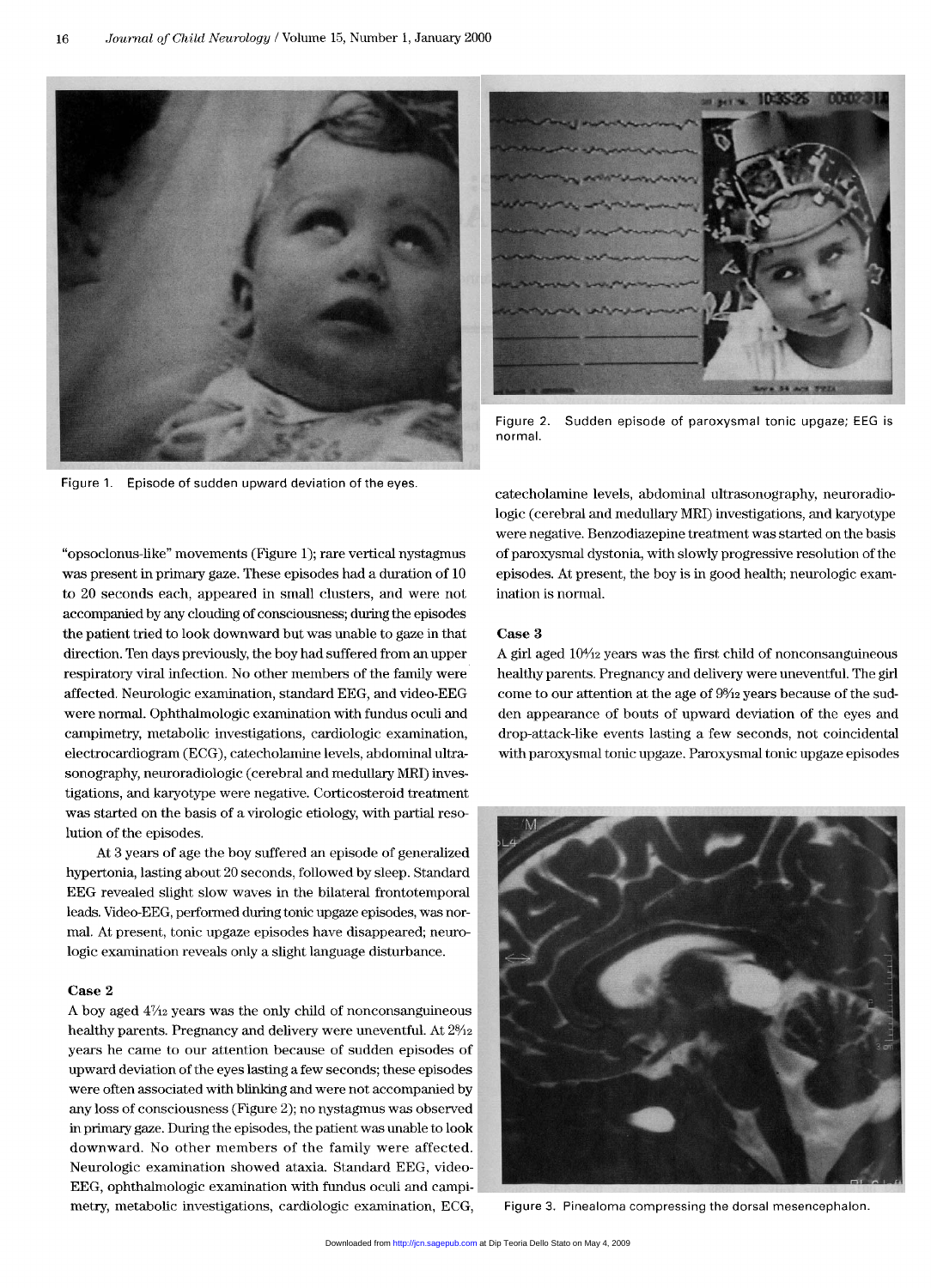

Figure 1. Episode of sudden upward deviation of the eyes.



Figure 2. Sudden episode of paroxysmal tonic upgaze; EEG is normal

"opsoclonus-like" movements (Figure 1); rare vertical nystagmus was present in primary gaze. These episodes had a duration of 10 to 20 seconds each, appeared in small clusters, and were not accompanied by any clouding of consciousness; during the episodes the patient tried to look downward but was unable to gaze in that direction. Ten days previously, the boy had suffered from an upper respiratory viral infection. No other members of the family were affected. Neurologic examination, standard EEG, and video-EEG were normal. Ophthalmologic examination with fundus oculi and campimetry, metabolic investigations, cardiologic examination, electrocardiogram (ECG), catecholamine levels, abdominal ultrasonography, neuroradiologic (cerebral and medullary MRI) investigations, and karyotype were negative. Corticosteroid treatment was started on the basis of a virologic etiology, with partial resolution of the episodes.

At 3 years of age the boy suffered an episode of generalized hypertonia, lasting about 20 seconds, followed by sleep. Standard EEG revealed slight slow waves in the bilateral frontotemporal leads. Video-EEG, performed during tonic upgaze episodes, was normal. At present, tonic upgaze episodes have disappeared; neurologic examination reveals only a slight language disturbance.

#### Case 2

A boy aged  $4\frac{7}{2}$  years was the only child of nonconsanguineous healthy parents. Pregnancy and delivery were uneventful. At  $2\frac{9}{12}$ years he came to our attention because of sudden episodes of upward deviation of the eyes lasting a few seconds; these episodes were often associated with blinking and were not accompanied by any loss of consciousness (Figure 2); no nystagmus was observed in primary gaze. During the episodes, the patient was unable to look downward. No other members of the family were affected. Neurologic examination showed ataxia. Standard EEG, video-EEG, ophthalmologic examination with fundus oculi and campimetry, metabolic investigations, cardiologic examination, ECG,

catecholamine levels, abdominal ultrasonography, neuroradiologic (cerebral and medullary MRI) investigations, and karyotype were negative. Benzodiazepine treatment was started on the basis of paroxysmal dystonia, with slowly progressive resolution of the episodes. At present, the boy is in good health; neurologic examination is normal.

#### Case 3

A girl aged  $10\frac{4}{2}$  years was the first child of nonconsanguineous healthy parents. Pregnancy and delivery were uneventful. The girl come to our attention at the age of  $9\frac{8}{12}$  years because of the sudden appearance of bouts of upward deviation of the eyes and drop-attack-like events lasting a few seconds, not coincidental with paroxysmal tonic upgaze. Paroxysmal tonic upgaze episodes



Figure 3. Pinealoma compressing the dorsal mesencephalon.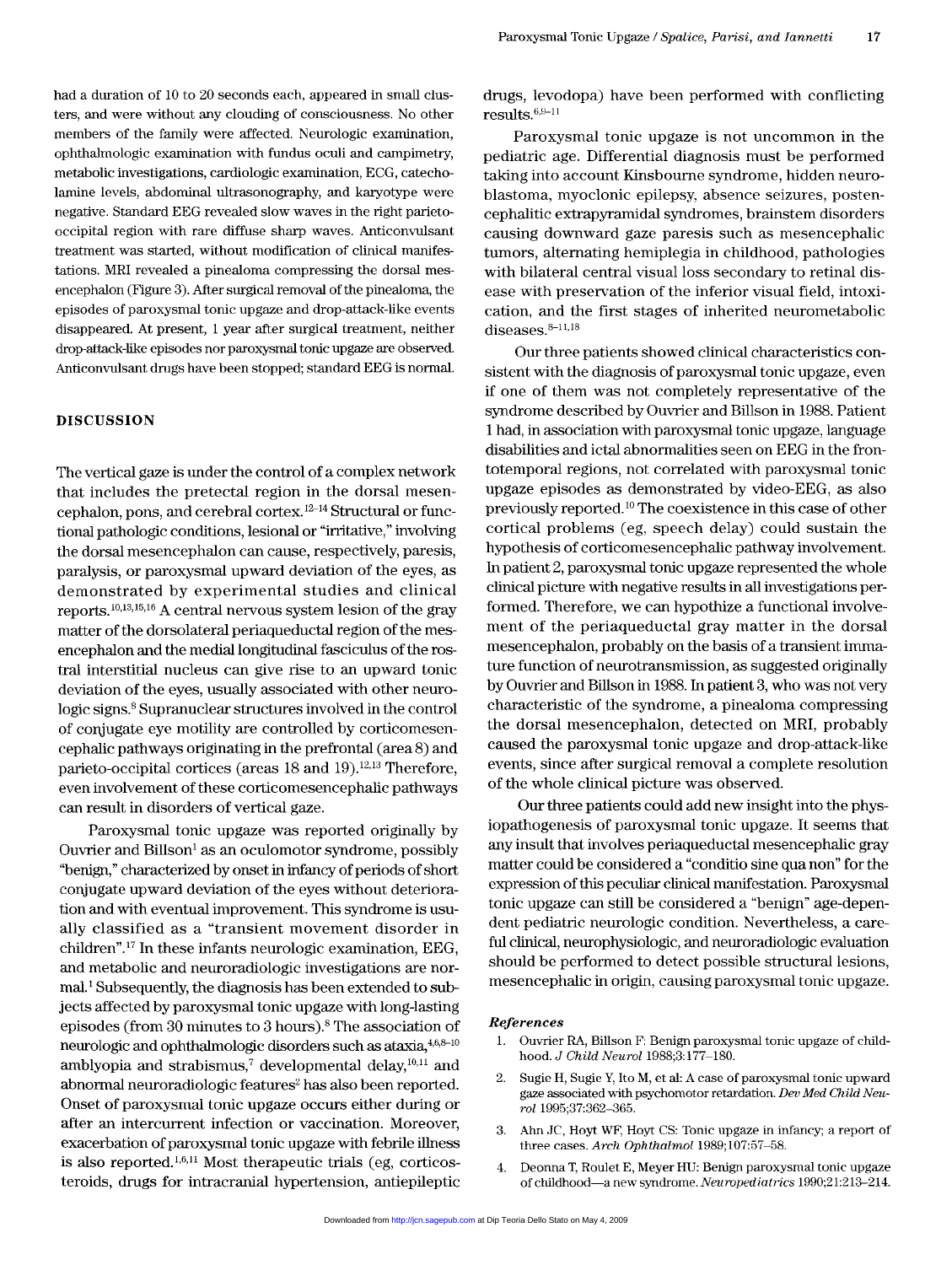had a duration of 10 to 20 seconds each, appeared in small clusters, and were without any clouding of consciousness. No other members of the family were affected. Neurologic examination, ophthalmologic examination with fundus oculi and campimetry, metabolic investigations, cardiologic examination, ECG, catecholamine levels, abdominal ultrasonography, and karyotype were negative. Standard EEG revealed slow waves in the right parietooccipital region with rare diffuse sharp waves. Anticonvulsant treatment was started, without modification of clinical manifestations. MRI revealed a pinealoma compressing the dorsal mesencephalon (Figure 3). After surgical removal of the pinealoma, the episodes of paroxysmal tonic upgaze and drop-attack-like events disappeared. At present, 1 year after surgical treatment, neither drop-attack-like episodes nor paroxysmal tonic upgaze are observed. Anticonvulsant drugs have been stopped; standard EEG is normal.

#### **DISCUSSION**

The vertical gaze is under the control of a complex network that includes the pretectal region in the dorsal mesencephalon, pons, and cerebral cortex.<sup>12-14</sup> Structural or functional pathologic conditions, lesional or "irritative," involving the dorsal mesencephalon can cause, respectively, paresis, paralysis, or paroxysmal upward deviation of the eyes, as demonstrated by experimental studies and clinical reports. 10,13,15, 16 A central nervous system lesion of the gray matter of the dorsolateral periaqueductal region of the mesencephalon and the medial longitudinal fasciculus of the rostral interstitial nucleus can give rise to an upward tonic deviation of the eyes, usually associated with other neurologic signs.<sup>8</sup> Supranuclear structures involved in the control of conjugate eye motility are controlled by corticomesencephalic pathways originating in the prefrontal (area 8) and parieto-occipital cortices (areas  $18$  and  $19$ ).<sup>12,13</sup> Therefore, even involvement of these corticomesencephalic pathways can result in disorders of vertical gaze.

Paroxysmal tonic upgaze was reported originally by Ouvrier and Billson' as an oculomotor syndrome, possibly "benign," characterized by onset in infancy of periods of short conjugate upward deviation of the eyes without deterioration and with eventual improvement. This syndrome is usually classified as a "transient movement disorder in children".<sup>17</sup> In these infants neurologic examination, EEG, and metabolic and neuroradiologic investigations are normal.<sup>1</sup> Subsequently, the diagnosis has been extended to subjects affected by paroxysmal tonic upgaze with long-lasting episodes (from 30 minutes to 3 hours).8 The association of neurologic and ophthalmologic disorders such as ataxia,  $4,6,8-10$ amblyopia and strabismus,<sup>7</sup> developmental delay, $10,11$  and abnormal neuroradiologic features<sup>2</sup> has also been reported. Onset of paroxysmal tonic upgaze occurs either during or after an intercurrent infection or vaccination. Moreover, exacerbation of paroxysmal tonic upgaze with febrile illness is also reported.<sup>1,6,11</sup> Most therapeutic trials (eg, corticosteroids, drugs for intracranial hypertension, antiepileptic drugs, levodopa) have been performed with conflicting results.  $6,9-11$ 

Paroxysmal tonic upgaze is not uncommon in the pediatric age. Differential diagnosis must be performed taking into account Kinsbourne syndrome, hidden neuroblastoma, myoclonic epilepsy, absence seizures, postencephalitic extrapyramidal syndromes, brainstem disorders causing downward gaze paresis such as mesencephalic tumors, alternating hemiplegia in childhood, pathologies with bilateral central visual loss secondary to retinal disease with preservation of the inferior visual field, intoxication, and the first stages of inherited neurometabolic diseases. $8-11,18$ 

Our three patients showed clinical characteristics consistent with the diagnosis of paroxysmal tonic upgaze, even if one of them was not completely representative of the syndrome described by Ouvrier and Billson in 1988. Patient 1 had, in association with paroxysmal tonic upgaze, language disabilities and ictal abnormalities seen on EEG in the frontotemporal regions, not correlated with paroxysmal tonic upgaze episodes as demonstrated by video-EEG, as also previously reported. 10 The coexistence in this case of other cortical problems (eg, speech delay) could sustain the hypothesis of corticomesencephalic pathway involvement. In patient 2, paroxysmal tonic upgaze represented the whole clinical picture with negative results in all investigations performed. Therefore, we can hypothize a functional involvement of the periaqueductal gray matter in the dorsal mesencephalon, probably on the basis of a transient immature function of neurotransmission, as suggested originally by Ouvrier and Billson in 1988. In patient 3, who was not very characteristic of the syndrome, a pinealoma compressing the dorsal mesencephalon, detected on MRI, probably caused the paroxysmal tonic upgaze and drop-attack-like events, since after surgical removal a complete resolution of the whole clinical picture was observed.

Our three patients could add new insight into the physiopathogenesis of paroxysmal tonic upgaze. It seems that any insult that involves periaqueductal mesencephalic gray matter could be considered a "conditio sine qua non" for the expression of this peculiar clinical manifestation. Paroxysmal tonic upgaze can still be considered a "benign" age-dependent pediatric neurologic condition. Nevertheless, a careful clinical, neurophysiologic, and neuroradiologic evaluation should be performed to detect possible structural lesions, mesencephalic in origin, causing paroxysmal tonic upgaze.

#### References

- 1. Ouvrier RA, Billson F: Benign paroxysmal tonic upgaze of childhood. J Child Neurol 1988;3:177-180.
- 2. Sugie H, Sugie Y, Ito M, et al: A case of paroxysmal tonic upward gaze associated with psychomotor retardation. Dev Med Child Neurol 1995;37:362-365.
- 3. Ahn JC, Hoyt WF, Hoyt CS: Tonic upgaze in infancy; a report of three cases. Arch Ophthalmol 1989;107:57-58.
- 4. Deonna T, Roulet E, Meyer HU: Benign paroxysmal tonic upgaze of childhood—a new syndrome. Neuropediatrics 1990;21:213-214.